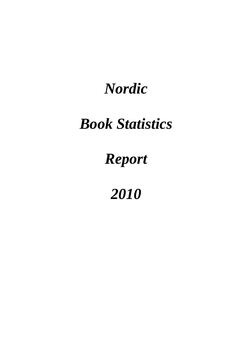# *Nordic*

# *Book Statistics*

# *Report*

*2010*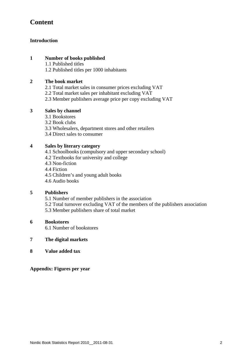# **Content**

#### **Introduction**

#### **1 Number of books published**

1.1 Published titles

1.2 Published titles per 1000 inhabitants

#### **2 The book market**

- 2.1 Total market sales in consumer prices excluding VAT
- 2.2 Total market sales per inhabitant excluding VAT
- 2.3 Member publishers average price per copy excluding VAT

#### **3 Sales by channel**

- 3.1 Bookstores
- 3.2 Book clubs
- 3.3 Wholesalers, department stores and other retailers
- 3.4 Direct sales to consumer

#### **4 Sales by literary category**

- 4.1 Schoolbooks (compulsory and upper secondary school)
- 4.2 Textbooks for university and college
- 4.3 Non-fiction
- 4.4 Fiction
- 4.5 Children's and young adult books
- 4.6 Audio books

#### **5 Publishers**

- 5.1 Number of member publishers in the association
- 5.2 Total turnover excluding VAT of the members of the publishers association
- 5.3 Member publishers share of total market

#### **6 Bookstores**

6.1 Number of bookstores

#### **7 The digital markets**

**8 Value added tax** 

**Appendix: Figures per year**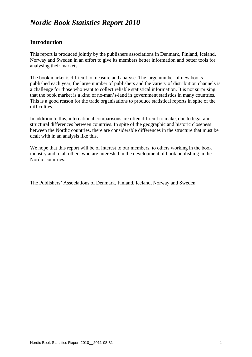# *Nordic Book Statistics Report 2010*

## **Introduction**

This report is produced jointly by the publishers associations in Denmark, Finland, Iceland, Norway and Sweden in an effort to give its members better information and better tools for analysing their markets.

The book market is difficult to measure and analyse. The large number of new books published each year, the large number of publishers and the variety of distribution channels is a challenge for those who want to collect reliable statistical information. It is not surprising that the book market is a kind of no-man's-land in government statistics in many countries. This is a good reason for the trade organisations to produce statistical reports in spite of the difficulties.

In addition to this, international comparisons are often difficult to make, due to legal and structural differences between countries. In spite of the geographic and historic closeness between the Nordic countries, there are considerable differences in the structure that must be dealt with in an analysis like this.

We hope that this report will be of interest to our members, to others working in the book industry and to all others who are interested in the development of book publishing in the Nordic countries.

The Publishers' Associations of Denmark, Finland, Iceland, Norway and Sweden.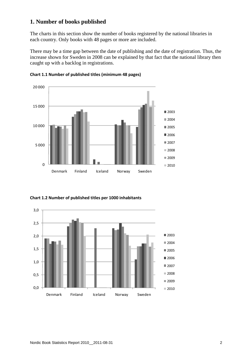## **1. Number of books published**

The charts in this section show the number of books registered by the national libraries in each country. Only books with 48 pages or more are included.

There may be a time gap between the date of publishing and the date of registration. Thus, the increase shown for Sweden in 2008 can be explained by that fact that the national library then caught up with a backlog in registrations.



**Chart 1.1 Number of published titles (minimum 48 pages)**

**Chart 1.2 Number of published titles per 1000 inhabitants**

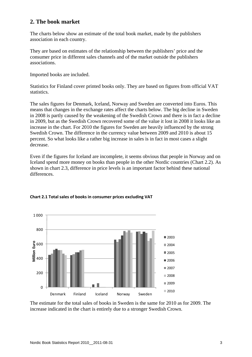## **2. The book market**

The charts below show an estimate of the total book market, made by the publishers association in each country.

They are based on estimates of the relationship between the publishers' price and the consumer price in different sales channels and of the market outside the publishers associations.

Imported books are included.

Statistics for Finland cover printed books only. They are based on figures from official VAT statistics.

The sales figures for Denmark, Iceland, Norway and Sweden are converted into Euros. This means that changes in the exchange rates affect the charts below. The big decline in Sweden in 2008 is partly caused by the weakening of the Swedish Crown and there is in fact a decline in 2009, but as the Swedish Crown recovered some of the value it lost in 2008 it looks like an increase in the chart. For 2010 the figures for Sweden are heavily influenced by the strong Swedish Crown. The difference in the currency value between 2009 and 2010 is about 15 percent. So what looks like a rather big increase in sales is in fact in most cases a slight decrease.

Even if the figures for Iceland are incomplete, it seems obvious that people in Norway and on Iceland spend more money on books than people in the other Nordic countries (Chart 2.2). As shown in chart 2.3, difference in price levels is an important factor behind these national differences.



#### **Chart 2.1 Total sales of books in consumer prices excluding VAT**

The estimate for the total sales of books in Sweden is the same for 2010 as for 2009. The increase indicated in the chart is entirely due to a stronger Swedish Crown.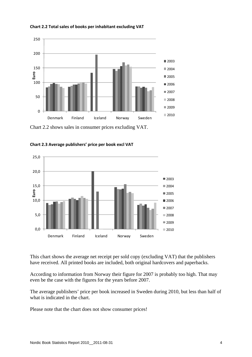



Chart 2.2 shows sales in consumer prices excluding VAT.



**Chart 2.3 Average publishers' price per book excl VAT** 

This chart shows the average net receipt per sold copy (excluding VAT) that the publishers have received. All printed books are included, both original hardcovers and paperbacks.

According to information from Norway their figure for 2007 is probably too high. That may even be the case with the figures for the years before 2007.

The average publishers' price per book increased in Sweden during 2010, but less than half of what is indicated in the chart.

Please note that the chart does not show consumer prices!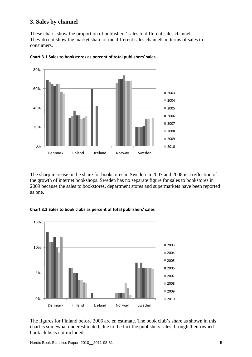### **3. Sales by channel**

These charts show the proportion of publishers' sales to different sales channels. They do not show the market share of the different sales channels in terms of sales to consumers.



**Chart 3.1 Sales to bookstores as percent of total publishers' sales**

The sharp increase in the share for bookstores in Sweden in 2007 and 2008 is a reflection of the growth of internet bookshops. Sweden has no separate figure for sales to bookstores in 2009 because the sales to bookstores, department stores and supermarkets have been reported as one.



**Chart 3.2 Sales to book clubs as percent of total publishers' sales**

The figures for Finland before 2006 are en estimate. The book club's share as shown in this chart is somewhat underestimated, due to the fact the publishers sales through their owned book clubs is not included.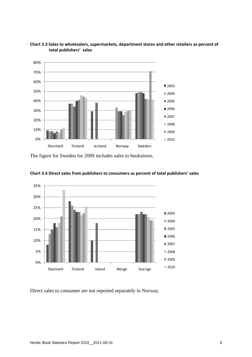



The figure for Sweden for 2009 includes sales to bookstores.



**Chart 3.4 Direct sales from publishers to consumers as percent of total publishers' sales**

Direct sales to consumer are not reported separately in Norway.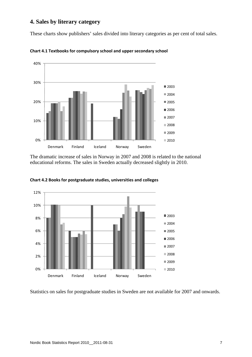## **4. Sales by literary category**

These charts show publishers' sales divided into literary categories as per cent of total sales.



**Chart 4.1 Textbooks for compulsory school and upper secondary school**

The dramatic increase of sales in Norway in 2007 and 2008 is related to the national educational reforms. The sales in Sweden actually decreased slightly in 2010.



**Chart 4.2 Books for postgraduate studies, universities and colleges**

Statistics on sales for postgraduate studies in Sweden are not available for 2007 and onwards.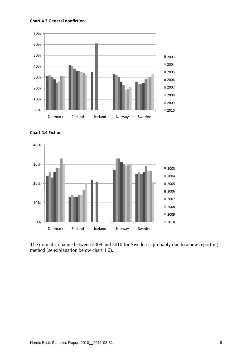#### **Chart 4.3 General nonfiction**







The dramatic change between 2009 and 2010 for Sweden is probably due to a new reporting method (se explanation below chart 4.6).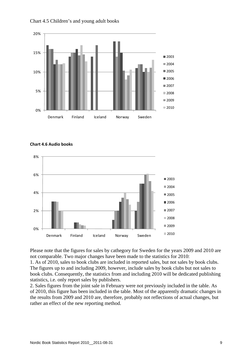

Chart 4.5 Children's and young adult books

**Chart 4.6 Audio books**



Please note that the figures for sales by cathegory for Sweden for the years 2009 and 2010 are not comparable. Two major changes have been made to the statistics for 2010:

1. As of 2010, sales to book clubs are included in reported sales, but not sales by book clubs. The figures up to and including 2009, however, include sales by book clubs but not sales to book clubs. Consequently, the statistics from and including 2010 will be dedicated publishing statistics, i.e. only report sales by publishers.

2. Sales figures from the joint sale in February were not previously included in the table. As of 2010, this figure has been included in the table. Most of the apparently dramatic changes in the results from 2009 and 2010 are, therefore, probably not reflections of actual changes, but rather an effect of the new reporting method.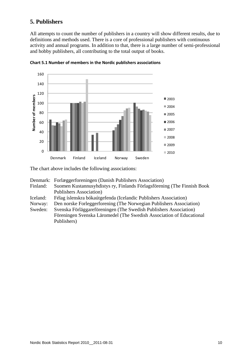## **5. Publishers**

All attempts to count the number of publishers in a country will show different results, due to definitions and methods used. There is a core of professional publishers with continuous activity and annual programs. In addition to that, there is a large number of semi-professional and hobby publishers, all contributing to the total output of books.



**Chart 5.1 Number of members in the Nordic publishers associations**

The chart above includes the following associations:

Denmark: Forlæggerforeningen (Danish Publishers Association)

- Finland: Suomen Kustannusyhdistys ry, Finlands Förlagsförening (The Finnish Book Publishers Association)
- Iceland: Félag íslenskra bókaútgefenda (Icelandic Publishers Association)
- Norway: Den norske Forleggerforening (The Norwegian Publishers Association)
- Sweden: Svenska Förläggareföreningen (The Swedish Publishers Association) Föreningen Svenska Läromedel (The Swedish Association of Educational Publishers)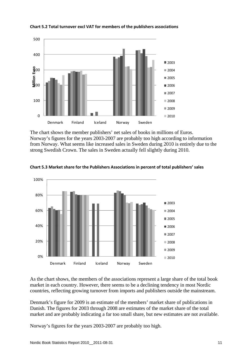

**Chart 5.2 Total turnover excl VAT for members of the publishers associations**

The chart shows the member publishers' net sales of books in millions of Euros. Norway's figures for the years 2003-2007 are probably too high according to information from Norway. What seems like increased sales in Sweden during 2010 is entirely due to the strong Swedish Crown. The sales in Sweden actually fell slightly during 2010.



**Chart 5.3 Market share for the Publishers Associations in percent of total publishers' sales**

As the chart shows, the members of the associations represent a large share of the total book market in each country. However, there seems to be a declining tendency in most Nordic countries, reflecting growing turnover from imports and publishers outside the mainstream.

Denmark's figure for 2009 is an estimate of the members' market share of publications in Danish. The figures for 2003 through 2008 are estimates of the market share of the total market and are probably indicating a far too small share, but new estimates are not available.

Norway's figures for the years 2003-2007 are probably too high.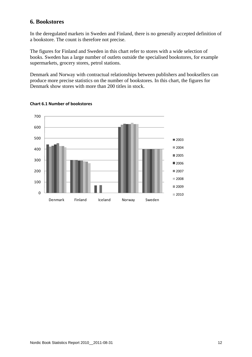### **6. Bookstores**

In the deregulated markets in Sweden and Finland, there is no generally accepted definition of a bookstore. The count is therefore not precise.

The figures for Finland and Sweden in this chart refer to stores with a wide selection of books. Sweden has a large number of outlets outside the specialised bookstores, for example supermarkets, grocery stores, petrol stations.

Denmark and Norway with contractual relationships between publishers and booksellers can produce more precise statistics on the number of bookstores. In this chart, the figures for Denmark show stores with more than 200 titles in stock.



#### **Chart 6.1 Number of bookstores**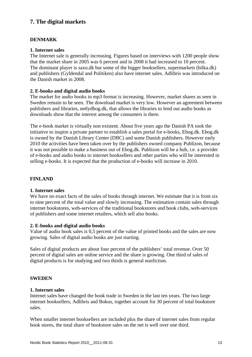# **7. The digital markets**

#### **DENMARK**

#### **1. Internet sales**

The Internet sale is generally increasing. Figures based on interviews with 1200 people show that the market share in 2005 was 6 percent and in 2008 it had increased to 10 percent. The dominant player is saxo.dk but some of the bigger booksellers, supermarkets (bilka.dk) and publishers (Gyldendal and Politiken) also have internet sales. Adlibris was introduced on the Danish market in 2008.

#### **2. E-books and digital audio books**

The market for audio books in mp3 format is increasing. However, market shares as seen in Sweden remain to be seen. The download market is very low. However an agreement between publishers and libraries, netlydbog.dk, that allows the libraries to lend out audio books as downloads show that the interest among the consumers is there.

The e-book market is virtually non existent. About five years ago the Danish PA took the initiative to inspire a private partner to establish a sales portal for e-books, Ebog.dk. Ebog.dk is owned by the Danish Library Center (DBC) and some Danish publishers. However early 2010 the activities have been taken over by the publishers owned company Publizon, because it was not possible to make a business out of Ebog.dk. Publizon will be a hub, i.e. a provider of e-books and audio books to internet booksellers and other parties who will be interested in selling e-books. It is expected that the production of e-books will increase in 2010.

#### **FINLAND**

#### **1. Internet sales**

We have no exact facts of the sales of books through internet. We estimate that it is from six to nine percent of the total value and slowly increasing. The estimation contain sales through internet bookstores, web-services of the traditional bookstores and book clubs, web-services of publishers and some internet retailers, which sell also books.

#### **2. E-books and digital audio books**

Value of audio book sales is 0,5 percent of the value of printed books and the sales are now growing. Sales of digital audio books are just starting.

Sales of digital products are about four percent of the publishers' total revenue. Over 50 percent of digital sales are online service and the share is growing. One third of sales of digital products is for studying and two thirds is general nonfiction.

#### **SWEDEN**

#### **1. Internet sales**

Internet sales have changed the book trade in Sweden in the last ten years. The two large internet booksellers, Adlibris and Bokus, together account for 30 percent of total bookstore sales.

When smaller internet booksellers are included plus the share of internet sales from regular book stores, the total share of bookstore sales on the net is well over one third.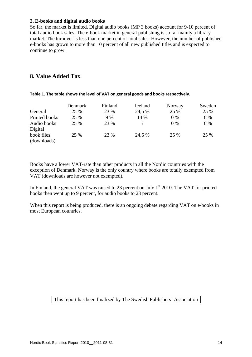#### **2. E-books and digital audio books**

So far, the market is limited. Digital audio books (MP 3 books) account for 9-10 percent of total audio book sales. The e-book market in general publishing is so far mainly a library market. The turnover is less than one percent of total sales. However, the number of published e-books has grown to more than 10 percent of all new published titles and is expected to continue to grow.

## **8. Value Added Tax**

|               | Denmark | Finland | Iceland       | Norway | Sweden |
|---------------|---------|---------|---------------|--------|--------|
| General       | 25 %    | 23 %    | 24,5 %        | 25 %   | 25 %   |
| Printed books | 25 %    | 9 %     | 14 %          | $0\%$  | 6 %    |
| Audio books   | 25 %    | 23 %    | $\mathcal{P}$ | $0\%$  | 6 %    |
| Digital       |         |         |               |        |        |
| book files    | 25 %    | 23 %    | 24,5 %        | 25 %   | 25 %   |
| (downloads)   |         |         |               |        |        |

**Table 1. The table shows the level of VAT on general goods and books respectively.**

Books have a lower VAT-rate than other products in all the Nordic countries with the exception of Denmark. Norway is the only country where books are totally exempted from VAT (downloads are however not exempted).

In Finland, the general VAT was raised to 23 percent on July  $1<sup>st</sup>$  2010. The VAT for printed books then went up to 9 percent, for audio books to 23 percent.

When this report is being produced, there is an ongoing debate regarding VAT on e-books in most European countries.

#### This report has been finalized by The Swedish Publishers' Association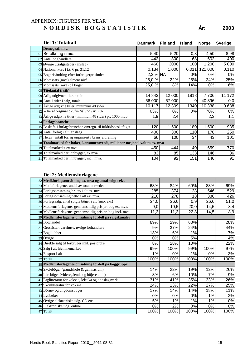## APPENDIX: FIGURES PER YEAR **N O R D I S K B O G S T A T I S T I K År: 2003**

| Del 1: Totaltall                                                            | <b>Danmark</b> | <b>Finland</b> | <b>Island</b> | <b>Norge</b> | <b>Sverige</b> |
|-----------------------------------------------------------------------------|----------------|----------------|---------------|--------------|----------------|
| Demografi m.v.                                                              |                |                |               |              |                |
| 01 Befolkning i mio.                                                        | 5,40           | 5,20           | 0,3           | 4,50         | 8,98           |
| 02 Antal boghandlere                                                        | 442            | 300            | 68            | 602          | 400            |
| 03 Øvrige utsalgssteder (anslag)                                            | 460            | 3000           | 100           | 200          | 5 0 0 0        |
| 04 National kurs i f.t. €pr. 31.12                                          | 0,134          | 1,000          | 0,011         | 121,000      | 0,110          |
| 05 Bogprisändring efter forbrugerprisindex                                  | 2,2 % NA       |                | 0%            | 0%           | 0%             |
| 06 Momssats (mva) alment nivå                                               | 25,0 %         | 22%            | 25%           | 24%          | 25%            |
| 07 Momssats (mva) på böger                                                  | 25,0%          | 8%             | 14%           | 0%           | 6%             |
| 08 Titelantal (i stk)                                                       |                |                |               |              |                |
| 09 Årlig udgivne titler, totalt                                             | 14 843         | 12 000         | 1818          | 7 706        | 172<br>11      |
| 10 Antall titler i salg, totalt                                             | 66 000         | 67 000         | 0             | 40 396       | 0,0            |
| 11 Årlige udgivne titler, minimum 48 sider                                  | 10 117         | 12 309         | 1340          | 10 338       | 9688           |
| $12$ – heraf original dk./fin./isl./no./sv. i %                             | 63%            | $0\%$          | 0%            | 70%          | 0%             |
| 13 Årlige udgivne titler (minimum 48 sider) pr. 1000 indb.                  | 1,9            | 2,4            |               | 2,3          | 1,1            |
| 14 Forlagsbranche                                                           |                |                |               |              |                |
| 15 Beskäft. i forlagsbranchen omregn. til fuldtidsbeskäftiget               | 1 1 2 0        | 500<br>1       | 180           | 500          | 935            |
| 16 Antal forlag i alt (anslag)                                              | 400            | 300            | 110           | 170          | 250            |
| 17 Herav: antall forlag organisert i bransjeforening                        | 66             | 100            | 34            | 43           | 101            |
| 18 Totalmarked for bøker, konsumentverdi, millioner nasjonal valuta ex. mva |                |                |               |              |                |
| 19 Totalmarkedet ex mva                                                     | 450            | 444            | 40            | 659          | 770            |
| 20 Totalmarked per innbygger, ex mva                                        | 83             | 85             | 133           | 146          | 86             |
| 21 Totalmarked per innbygger, incl. mva.                                    | 104            | 92             | 151           | 146          | 91             |

| 22 Medl.forlagsomsätning ex. mva og antal solgte eks.     |      |      |       |      |      |
|-----------------------------------------------------------|------|------|-------|------|------|
| 23 Medl.forlagenes andel av totalmarkedet                 | 63%  | 84%  | 69%   | 83%  | 69%  |
| 24 Forlagsomsätning brutto i alt ex. mva.                 | 285  | 374  | 28    | 546  | 529  |
| 25 Forlagsomsätning netto i alt ex. mva.                  | 216  | 278  | 18    | 386  | 426  |
| 26 Forlagssalg, antal solgte böger i alt (mio. eks)       | 24,0 | 26,6 | 0,9   | 26,6 | 51,0 |
| 27 Medlemsforlagenes gennemsnitlig pris pr. bog ex. mva.  | 9,0  | 10,5 | 20,0  | 14,5 | 8,4  |
| 28 Medlemsforlagenes gennemsnitlig pris pr. bog incl. mva | 11,3 | 11,3 | 22,8  | 14,5 | 8,9  |
| 29 Medlemsforlagenes omsätning fordelt på salgskanaler    |      |      |       |      |      |
| 30 Boghandel                                              | 69%  | 29%  | 60%   |      | 20%  |
| 31 Grossister, varehuse, øvrige forhandlere               | 9%   | 37%  | 24%   |      | 44%  |
| 32 Bogklubber                                             | 13%  | 6%   | 1%    |      | 7%   |
| 33 Övrige                                                 | 0%   | 0%   | 5%    |      | 4%   |
| 34 Direkte salg til forbruger inkl. postordre             | 8%   | 28%  | 10%   |      | 22%  |
| 35 Salg i alt hjemmemarked                                | 99%  | 100% | 99%   | 100% | 97%  |
| 36 Eksport i alt                                          | 1%   | 0%   | 1%    | 0%   | 3%   |
| 37 Totalt                                                 | 100% | 100% | 100%  | 100% | 100% |
| 38 Medlemsforlagenes omsätning fordelt på boggrupper      |      |      |       |      |      |
| 39 Skoleböger (grundskole & gymnasium)                    | 14%  | 22%  | 19%   | 12%  | 26%  |
| 40 Läreböger (videregående og höjere udd.)                | 8%   | 6%   | 10%   | 7%   | 9%   |
| 41 Faglitteratur for voksne, leksika og oppslagsverk      | 31%  | 41%  | 35%   | 33%  | 26%  |
| 42 Skönlitteratur for voksne                              | 24%  | 13%  | 22%   | 27%  | 25%  |
| 43 Börne- og ungdomsböger                                 | 17%  | 14%  | 14%   | 18%  | 11%  |
| 44 Lydbøker                                               | 0%   | 0%   | 0%    | 1%   | 2%   |
| 45 Øvrige elektroniske udg. CD etc.                       | 5%   | 1%   | 1%    | 1%   | 0%   |
| 46 Elektroniske udg. online                               | 0%   | 2%   | $0\%$ | 0%   | 0%   |
| 47 Totalt                                                 | 100% | 100% | 100%  | 100% | 100% |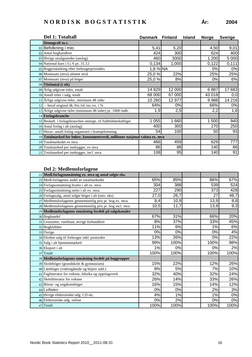| Del 1: Totaltall                                                            | <b>Danmark</b> | <b>Finland</b> | <b>Island</b> | <b>Norge</b> | <b>Sverige</b> |
|-----------------------------------------------------------------------------|----------------|----------------|---------------|--------------|----------------|
| Demografi m.v.                                                              |                |                |               |              |                |
| 01 Befolkning i mio.                                                        | 5,41           | 5,20           |               | 4,50         | 9,01           |
| 02 Antal boghandlere                                                        | 424            | 300            |               | 624          | 400            |
| 03 Øvrige utsalgssteder (anslag)                                            | 460            | 3000           |               | 1 200        | 5 0 0 0        |
| 04 National kurs i f.t. €pr. 31.12                                          | 0,134          | 1,000          |               | 0,122        | 0,111          |
| 05 Bogprisändring efter forbrugerprisindex                                  | $1,8%$ NA      |                |               | 0%           | 0%             |
| 06 Momssats (mva) alment nivå                                               | 25,0 %         | 22%            |               | 25%          | 25%            |
| 07 Momssats (mva) på böger                                                  | 25,0 %         | 8%             |               | 0%           | 6%             |
| 08 Titelantal (i stk)                                                       |                |                |               |              |                |
| 09 Årlig udgivne titler, totalt                                             | 14 8 29        | 12 000         |               | 6887         | 17 683         |
| 10 Antall titler i salg, totalt                                             | 68 000         | 67 000         |               | 43 018       | 0,0            |
| 11 Årlige udgivne titler, minimum 48 sider                                  | 10 260         | 12 977         |               | 9988         | 14 216         |
| $12$ – heraf original dk./fin./isl./no./sv. i %                             | 64%            | 0%             |               | 66%          | 0%             |
| 13 Årlige udgivne titler (minimum 48 sider) pr. 1000 indb.                  | 1,9            | 2,5            |               | 2,2          | 1,6            |
| 14 Forlagsbranche                                                           |                |                |               |              |                |
| 15 Beskäft. i forlagsbranchen omregn. til fuldtidsbeskäftiget               | 1 0 5 5        | 1 660          |               | 1 500        | 940            |
| 16 Antal forlag i alt (anslag)                                              | 400            | 300            |               | 170          | 250            |
| 17 Herav: antall forlag organisert i bransjeforening                        | 54             | 100            |               | 50           | 93             |
| 18 Totalmarked for bøker, konsumentverdi, millioner nasjonal valuta ex. mva |                |                |               |              |                |
| 19 Totalmarkedet ex mva                                                     | 466            | 459            |               | 629          | 777            |
| 20 Totalmarked per innbygger, ex mva                                        | 86             | 88             |               | 140          | 86             |
| 21 Totalmarked per innbygger, incl. mva.                                    | 108            | 95             |               | 140          | 91             |

| 22 Medl.forlagsomsätning ex. mva og antal solgte eks.     |      |      |       |      |
|-----------------------------------------------------------|------|------|-------|------|
| 23 Medl.forlagenes andel av totalmarkedet                 | 65%  | 85%  | 86%   | 67%  |
| 24 Forlagsomsätning brutto i alt ex. mva.                 | 304  | 388  | 539   | 524  |
| 25 Forlagsomsätning netto i alt ex. mva.                  | 227  | 290  | 373   | 428  |
| 26 Forlagssalg, antal solgte böger i alt (mio. eks)       | 27,0 | 26,7 | 27    | 48,7 |
| 27 Medlemsforlagenes gennemsnitlig pris pr. bog ex. mva.  | 8,4  | 10,9 | 13,9  | 8,8  |
| 28 Medlemsforlagenes gennemsnitlig pris pr. bog incl. mva | 10,5 | 11,7 | 13,9  | 9,3  |
| 29 Medlemsforlagenes omsätning fordelt på salgskanaler    |      |      |       |      |
| 30 Boghandel                                              | 67%  | 31%  | 66%   | 20%  |
| 31 Grossister, varehuse, øvrige forhandlere               | 8%   | 37%  | 33%   | 45%  |
| 32 Bogklubber                                             | 11%  | 6%   | 1%    | 6%   |
| 33 Övrige                                                 | 0%   | 0%   | 0%    | 4%   |
| 34 Direkte salg til forbruger inkl. postordre             | 13%  | 26%  | 0%    | 22%  |
| 35 Salg i alt hjemmemarked                                | 99%  | 100% | 100%  | 98%  |
| 36 Eksport i alt                                          | 1%   | 0%   | 0%    | 2%   |
| 37 Totalt                                                 | 100% | 100% | 100%  | 100% |
| 38 Medlemsforlagenes omsätning fordelt på boggrupper      |      |      |       |      |
| 39 Skoleböger (grundskole & gymnasium)                    | 15%  | 22%  | 12%   | 26%  |
| 40 Läreböger (videregående og höjere udd.)                | 8%   | 5%   | 7%    | 10%  |
| 41 Faglitteratur for voksne, leksika og oppslagsverk      | 32%  | 40%  | 32%   | 24%  |
| 42 Skönlitteratur for voksne                              | 26%  | 14%  | 33%   | 26%  |
| 43 Börne- og ungdomsböger                                 | 16%  | 15%  | 14%   | 12%  |
| 44 Lydbøker                                               | 0%   | 0%   | 2%    | 3%   |
| 45 Øvrige elektroniske udg. CD etc.                       | 4%   | 1%   | 1%    | 0%   |
| 46 Elektroniske udg. online                               | 0%   | 2%   | $0\%$ | 0%   |
| 47 Totalt                                                 | 100% | 100% | 100%  | 100% |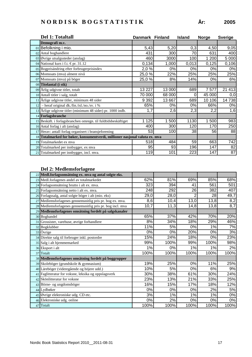|    | Del 1: Totaltall                                                            | Danmark Finland |        | <b>Island</b> | <b>Norge</b> | <b>Sverige</b> |
|----|-----------------------------------------------------------------------------|-----------------|--------|---------------|--------------|----------------|
|    | Demografi m.v.                                                              |                 |        |               |              |                |
|    | 01 Befolkning i mio.                                                        | 5,43            | 5,20   | 0,3           | 4,50         | 9,05           |
|    | 02 Antal boghandlere                                                        | 431             | 300    | 70            | 631          | 400            |
|    | 03 Øvrige utsalgssteder (anslag)                                            | 460             | 3000   | 100           | 1 200        | 5 0 0 0        |
|    | 04 National kurs i f.t. €pr. 31.12                                          | 0,134           | 1,000  | 0,013         | 0,125        | 0,106          |
|    | 05 Bogprisändring efter forbrugerprisindex                                  | 2,0 %           | 0%     | 0%            | 0%           | 0%             |
|    | 06 Momssats (mva) alment nivå                                               | 25,0%           | 22%    | 25%           | 25%          | 25%            |
|    | 07 Momssats (mva) på böger                                                  | 25,0%           | 8%     | 14%           | 0%           | 6%             |
|    | 08 Titelantal (i stk)                                                       |                 |        |               |              |                |
|    | 09 Årlig udgivne titler, totalt                                             | 13 227          | 13 000 | 689           | 7577         | 21 413         |
|    | 10 Antall titler i salg, totalt                                             | 70 000          | 68 000 | 0             | 45 000       | 0,0            |
|    | 11 Årlige udgivne titler, minimum 48 sider                                  | 9 3 9 2         | 13 667 | 689           | 10 106       | 14738          |
| 12 | - heraf original dk./fin./isl./no./sv. i %                                  | 65%             | 0%     | 0%            | 66%          | $0\%$          |
|    | 13 Årlige udgivne titler (minimum 48 sider) pr. 1000 indb.                  | 1,7             | 2,6    | 2,3           | 2,2          | 1,6            |
|    | 14 Forlagsbranche                                                           |                 |        |               |              |                |
|    | 15 Beskäft. i forlagsbranchen omregn. til fuldtidsbeskäftiget               | 1 1 2 5         | 1 500  | 1130          | 500          | 983            |
|    | 16 Antal forlag i alt (anslag)                                              | 400             | 300    | 120           | 170          | 250            |
|    | 17 Herav: antall forlag organisert i bransjeforening                        | 53              | 100    | 38            | 56           | 88             |
|    | 18 Totalmarked for bøker, konsumentverdi, millioner nasjonal valuta ex. mva |                 |        |               |              |                |
|    | 19 Totalmarkedet ex mva                                                     | 518             | 484    | 59            | 663          | 742            |
|    | 20 Totalmarked per innbygger, ex mva                                        | 95              | 93     | 196           | 147          | 82             |
|    | 21 Totalmarked per innbygger, incl. mva.                                    | 119             | 101    | 223           | 147          | 87             |

| 22 Medl.forlagsomsätning ex. mva og antal solgte eks.     |      |      |      |      |                  |
|-----------------------------------------------------------|------|------|------|------|------------------|
| 23 Medl.forlagenes andel av totalmarkedet                 | 62%  | 81%  | 69%  | 85%  | 68%              |
| 24 Forlagsomsätning brutto i alt ex. mva.                 | 323  | 394  | 41   | 561  | 501              |
| 25 Forlagsomsätning netto i alt ex. mva.                  | 248  | 292  | 26   | 382  | 407              |
| 26 Forlagssalg, antal solgte böger i alt (mio. eks)       | 29,0 | 28,0 |      | 28   | 49,7             |
| 27 Medlemsforlagenes gennemsnitlig pris pr. bog ex. mva.  | 8,6  | 10,4 | 13,0 | 13,8 | 8,2              |
| 28 Medlemsforlagenes gennemsnitlig pris pr. bog incl. mva | 10,7 | 11,3 | 14,8 | 13,8 | $\overline{8,7}$ |
| 29 Medlemsforlagenes omsätning fordelt på salgskanaler    |      |      |      |      |                  |
| 30 Boghandel                                              | 65%  | 37%  | 42%  | 70%  | 20%              |
| 31 Grossister, varehuse, øvrige forhandlere               | 8%   | 34%  | 18%  | 29%  | 46%              |
| 32 Bogklubber                                             | 11%  | 5%   | 0%   | 1%   | 7%               |
| 33 Övrige                                                 | 0%   | 0%   | 20%  | 0%   | 3%               |
| 34 Direkte salg til forbruger inkl. postordre             | 15%  | 24%  | 18%  | 0%   | 23%              |
| 35 Salg i alt hjemmemarked                                | 99%  | 100% | 99%  | 100% | 98%              |
| 36 Eksport i alt                                          | 1%   | 0%   | 1%   | 1%   | 2%               |
| 37 Totalt                                                 | 100% | 100% | 100% | 100% | 100%             |
| 38 Medlemsforlagenes omsätning fordelt på boggrupper      |      |      |      |      |                  |
| 39 Skoleböger (grundskole & gymnasium)                    | 19%  | 25%  | 0%   | 11%  | 25%              |
| 40 Läreböger (videregående og höjere udd.)                | 10%  | 5%   | 0%   | 6%   | 9%               |
| 41 Faglitteratur for voksne, leksika og oppslagsverk      | 30%  | 38%  | 61%  | 30%  | 24%              |
| 42 Skönlitteratur for voksne                              | 23%  | 13%  | 21%  | 33%  | 25%              |
| 43 Börne- og ungdomsböger                                 | 16%  | 15%  | 17%  | 18%  | 12%              |
| 44 Lydbøker                                               | 0%   | 0%   | 0%   | 2%   | 5%               |
| 45 Øvrige elektroniske udg. CD etc.                       | 3%   | 1%   | 1%   | 1%   | 0%               |
| 46 Elektroniske udg. online                               | 0%   | 2%   | 0%   | 0%   | 0%               |
| 47 Totalt                                                 | 100% | 100% | 100% | 100% | 100%             |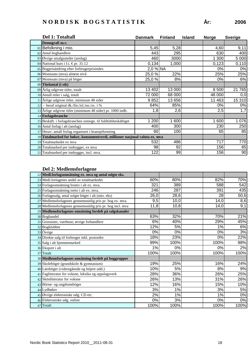| År: | 200 |
|-----|-----|
|     |     |

| Del 1: Totaltall                                                            | <b>Danmark</b> | <b>Finland</b> | <b>Island</b> | <b>Norge</b> | <b>Sverige</b> |
|-----------------------------------------------------------------------------|----------------|----------------|---------------|--------------|----------------|
| Demografi m.v.                                                              |                |                |               |              |                |
| 01 Befolkning i mio.                                                        | 5,45           | 5,28           |               | 4,60         | 9,11           |
| 02 Antal boghandlere                                                        | 443            | 295            |               | 630          | 400            |
| 03 Øvrige utsalgssteder (anslag)                                            | 460            | 3000           |               | 1 300        | 5 000          |
| 04 National kurs i f.t. €pr. 31.12                                          | 0,134          | 1,000          |               | 0,123        | 0,110          |
| 05 Bogprisändring efter forbrugerprisindex                                  | $2,0%$ NA      |                |               | 0%           | 0%             |
| 06 Momssats (mva) alment nivå                                               | 25,0 %         | 22%            |               | 25%          | 25%            |
| 07 Momssats (mva) på böger                                                  | 25,0%          | 8%             |               | 0%           | 6%             |
| 08 Titelantal (i stk)                                                       |                |                |               |              |                |
| 09 Årlig udgivne titler, totalt                                             | 13 402         | 13 000         |               | 8 500        | 21 765         |
| 10 Antall titler i salg, totalt                                             | 72 000         | 68 000         |               | 48 000       | 0,0            |
| 11 Årlige udgivne titler, minimum 48 sider                                  | 9852           | 13 656         |               | 11 463       | 15 310         |
| $12$ – heraf original dk./fin./isl./no./sv. i %                             | 64%            | 85%            |               | 0%           | 0%             |
| 13 Årlige udgivne titler (minimum 48 sider) pr. 1000 indb.                  | 1,8            | 2,6            |               | 2,5          | 1,7            |
| 14 Forlagsbranche                                                           |                |                |               |              |                |
| 15 Beskäft. i forlagsbranchen omregn. til fuldtidsbeskäftiget               | 200            | 1 600          |               | 1 600        | 1 0 7 6        |
| 16 Antal forlag i alt (anslag)                                              | 400            | 300            |               | 230          | 250            |
| 17 Herav: antall forlag organisert i bransjeforening                        | 60             | 100            |               | 65           | 85             |
| 18 Totalmarked for bøker, konsumentverdi, millioner nasjonal valuta ex. mva |                |                |               |              |                |
| 19 Totalmarkedet ex mva                                                     | 532            | 486            |               | 717          | 770            |
| 20 Totalmarked per innbygger, ex mva                                        | 98             | 92             |               | 156          | 85             |
| 21 Totalmarked per innbygger, incl. mva.                                    | 122            | 99             |               | 156          | 90             |

| 22 Medl.forlagsomsätning ex. mva og antal solgte eks.     |      |      |      |      |
|-----------------------------------------------------------|------|------|------|------|
| 23 Medl.forlagenes andel av totalmarkedet                 | 60%  | 80%  | 82%  | 70%  |
| 24 Forlagsomsätning brutto i alt ex. mva.                 | 321  | 389  | 588  | 542  |
| 25 Forlagsomsätning netto i alt ex. mva.                  | 246  | 287  | 391  | 435  |
| 26 Forlagssalg, antal solgte böger i alt (mio. eks)       | 26,0 | 28,6 | 28   | 50,6 |
| 27 Medlemsforlagenes gennemsnitlig pris pr. bog ex. mva.  | 9,5  | 10,0 | 14,0 | 8,6  |
| 28 Medlemsforlagenes gennemsnitlig pris pr. bog incl. mva | 11,8 | 10,8 | 14,0 | 9,1  |
| 29 Medlemsforlagenes omsätning fordelt på salgskanaler    |      |      |      |      |
| 30 Boghandel                                              | 63%  | 32%  | 70%  | 21%  |
| 31 Grossister, varehuse, øvrige forhandlere               | 6%   | 40%  | 29%  | 45%  |
| 32 Bogklubber                                             | 12%  | 5%   | 1%   | 6%   |
| 33 Övrige                                                 | 0%   | 0%   | 0%   | 3%   |
| 34 Direkte salg til forbruger inkl. postordre             | 18%  | 23%  | 0%   | 22%  |
| 35 Salg i alt hjemmemarked                                | 99%  | 100% | 100% | 98%  |
| 36 Eksport i alt                                          | 1%   | 0%   | 0%   | 2%   |
| 37 Totalt                                                 | 100% | 100% | 100% | 100% |
| 38 Medlemsforlagenes omsätning fordelt på boggrupper      |      |      |      |      |
| 39 Skoleböger (grundskole & gymnasium)                    | 19%  | 25%  | 16%  | 24%  |
| 40 Läreböger (videregående og höjere udd.)                | 10%  | 5%   | 8%   | 9%   |
| 41 Faglitteratur for voksne, leksika og oppslagsverk      | 28%  | 36%  | 26%  | 25%  |
| 42 Skönlitteratur for voksne                              | 26%  | 13%  | 31%  | 26%  |
| 43 Börne- og ungdomsböger                                 | 12%  | 16%  | 15%  | 10%  |
| 44 Lydbøker                                               | 3%   | 1%   | 3%   | 5%   |
| 45 Øvrige elektroniske udg. CD etc.                       | 2%   | 1%   | 1%   | 0%   |
| 46 Elektroniske udg. online                               | 0%   | 3%   | 0%   | 0%   |
| 47 Totalt                                                 | 100% | 100% | 100% | 100% |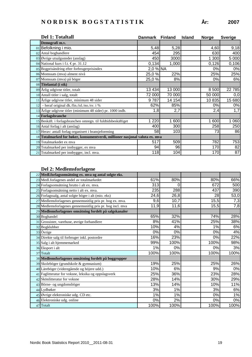|    | Del 1: Totaltall                                                            | Danmark Finland |        | <b>Island</b> | <b>Norge</b> | <b>Sverige</b> |
|----|-----------------------------------------------------------------------------|-----------------|--------|---------------|--------------|----------------|
|    | Demografi m.v.                                                              |                 |        |               |              |                |
|    | 01 Befolkning i mio.                                                        | 5,48            | 5,28   |               | 4,60         | 9,18           |
|    | 02 Antal boghandlere                                                        | 454             | 295    |               | 630          | 400            |
|    | $03$ Øvrige utsalgssteder (anslag)                                          | 450             | 3000   |               | 1 300        | 5 000          |
|    | 04 National kurs i f.t. €pr. 31.12                                          | 0,134           | 1,000  |               | 0,126        | 0,106          |
|    | 05 Bogprisändring efter forbrugerprisindex                                  | 2,0 % NA        |        |               | 0%           | 0%             |
|    | 06 Momssats (mva) alment nivå                                               | 25,0%           | 22%    |               | 25%          | 25%            |
|    | 07 Momssats (mva) på böger                                                  | 25,0 %          | 8%     |               | 0%           | 6%             |
|    | 08 Titelantal (i stk)                                                       |                 |        |               |              |                |
|    | 09 Årlig udgivne titler, totalt                                             | 13 4 34         | 13 000 |               | 8 500        | 22 785         |
|    | 10 Antall titler i salg, totalt                                             | 72 000          | 70 000 |               | 50 000       | 0,0            |
|    | 11 Årlige udgivne titler, minimum 48 sider                                  | 9787            | 14 154 |               | 10 835       | 15 680         |
| 12 | - heraf original dk./fin./isl./no./sv. i %                                  | 62%             | 85%    |               | 0%           | 0%             |
|    | 13 Årlige udgivne titler (minimum 48 sider) pr. 1000 indb.                  | 1,8             | 2,7    |               | 2,4          | 1,7            |
|    | 14 Forlagsbranche                                                           |                 |        |               |              |                |
|    | 15 Beskäft. i forlagsbranchen omregn. til fuldtidsbeskäftiget               | 1 2 2 0         | 1 600  |               | 1 600        | 1 060          |
|    | 16 Antal forlag i alt (anslag)                                              | 400             | 300    |               | 258          | 250            |
|    | 17 Herav: antall forlag organisert i bransjeforening                        | 58              | 103    |               | 73           | 86             |
|    | 18 Totalmarked for bøker, konsumentverdi, millioner nasjonal valuta ex. mva |                 |        |               |              |                |
|    | 19 Totalmarkedet ex mva                                                     | 517             | 509    |               | 782          | 753            |
|    | 20 Totalmarked per innbygger, ex mva                                        | 94              | 96     |               | 170          | 82             |
|    | 21 Totalmarked per innbygger, incl. mva.                                    | 118             | 104    |               | 170          | 87             |

|    | 22 Medl.forlagsomsätning ex. mva og antal solgte eks.     |      |      |      |            |
|----|-----------------------------------------------------------|------|------|------|------------|
|    | 23 Medl.forlagenes andel av totalmarkedet                 | 61%  | 80%  | 80%  | 66%        |
|    | 24 Forlagsomsätning brutto i alt ex. mva.                 | 313  | 0    | 672  | 500        |
|    | 25 Forlagsomsätning netto i alt ex. mva.                  | 235  | 288  | 437  | 390        |
|    | 26 Forlagssalg, antal solgte böger i alt (mio. eks)       | 24,6 | 26,8 |      | 53,0<br>28 |
|    | 27 Medlemsforlagenes gennemsnitlig pris pr. bog ex. mva.  | 9,6  | 10,7 | 15,5 | 7,3        |
|    | 28 Medlemsforlagenes gennemsnitlig pris pr. bog incl. mva | 11,9 | 11,6 | 15,5 | 7,8        |
|    | 29 Medlemsforlagenes omsätning fordelt på salgskanaler    |      |      |      |            |
|    | 30 Boghandel                                              | 65%  | 32%  | 74%  | 28%        |
|    | 31 Grossister, varehuse, øvrige forhandlere               | 8%   | 41%  | 25%  | 38%        |
| 32 | Bogklubber                                                | 10%  | 4%   |      | 1%<br>6%   |
|    | 33 Övrige                                                 | 0%   | 0%   | 0%   | 4%         |
|    | 34 Direkte salg til forbruger inkl. postordre             | 16%  | 23%  | 0%   | 22%        |
|    | 35 Salg i alt hjemmemarked                                | 99%  | 100% | 100% | 98%        |
|    | 36 Eksport i alt                                          | 1%   | 0%   | 0%   | 3%         |
|    | 37 Totalt                                                 | 100% | 100% | 100% | 100%       |
|    | 38 Medlemsforlagenes omsätning fordelt på boggrupper      |      |      |      |            |
|    | 39 Skoleböger (grundskole & gymnasium)                    | 19%  | 25%  | 25%  | 26%        |
|    | 40 Läreböger (videregående og höjere udd.)                | 10%  | 6%   | 9%   | $0\%$      |
|    | 41 Faglitteratur for voksne, leksika og oppslagsverk      | 25%  | 36%  | 23%  | 28%        |
|    | 42 Skönlitteratur for voksne                              | 28%  | 14%  | 30%  | 29%        |
|    | 43 Börne- og ungdomsböger                                 | 13%  | 14%  | 10%  | 11%        |
|    | 44 Lydbøker                                               | 3%   | 1%   | 3%   | 6%         |
|    | 45 Øvrige elektroniske udg. CD etc.                       | 1%   | 1%   | 0%   | 1%         |
|    | 46 Elektroniske udg. online                               | 0%   | 2%   | 0%   | $0\%$      |
|    | 47 Totalt                                                 | 100% | 100% | 100% | 100%       |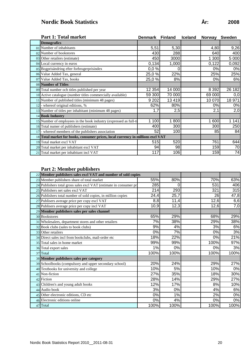# **Nordic Book Statistics År: 2008**

|    | <b>Part 1: Total market</b>                                                     | Denmark | <b>Finland</b> | <b>Iceland</b> | <b>Norway</b> | <b>Sweden</b> |
|----|---------------------------------------------------------------------------------|---------|----------------|----------------|---------------|---------------|
|    | <b>Demografics</b>                                                              |         |                |                |               |               |
|    | 01 Number of inhabitants                                                        | 5,51    | 5,30           |                | 4,80          | 9,26          |
|    | 02 Number of bookstores                                                         | 430     | 288            |                | 640           | 400           |
|    | 03 Other retailers (estimate)                                                   | 450     | 3000           |                | 1 300         | 5 000         |
|    | 04 Local currency in euros                                                      | 0,134   | 1,000          |                | 0,122         | 0,092         |
|    | 05 Bogprisändring efter forbrugerprisindex                                      | 0,0%    | 0              |                | 0%            | 0%            |
|    | 06 Value Added Tax, general                                                     | 25,0 %  | 22%            |                | 25%           | 25%           |
|    | 07 Value Added Tax, books                                                       | 25,0 %  | 8%             |                | 0%            | 6%            |
|    | 08 Number of Titles                                                             |         |                |                |               |               |
|    | 09 Total number och titles published per year                                   | 12 354  | 14 000         |                | 8 3 9 2       | 26 182        |
|    | 10 Active catalogue (number titles commercially available)                      | 59 300  | 70 000         |                | 69 000        | 0,0           |
|    | 11 Number of published titles (minimum 48 pages)                                | 9 2 0 2 | 13 4 19        |                | 10 070        | 18 971        |
|    | $12$ - whereof original editions, %                                             | 62%     | 80%            |                | 0%            | 0%            |
|    | 13 Number of titles per inhabitant (minimum 48 pages)                           | 1,7     | 2,5            |                | 2,1           | 2,0           |
|    | 14 Book Industry                                                                |         |                |                |               |               |
|    | 15 Number of employees in the book industry (expressed as full-ti               | 1 100   | 800            |                | 1 600         | 1 1 4 1       |
|    | 16 Total numer of publishers (estimate)                                         | 400     | 300            |                | 300           | 250           |
| 17 | - whereof members of the publishers association                                 | 52      | 100            |                | 85            | 84            |
|    | 18 Total market for books, consumer prices, local currency in millions excl VAT |         |                |                |               |               |
|    | 19 Total market excl VAT                                                        | 515     | 520            |                | 761           | 644           |
|    | 20 Total market per inhabitant excl VAT                                         | 94      | 98             |                | 159           | 70            |
|    | 21 Total market per inhabitant incl VAT                                         | 117     | 106            |                | 159           | 74            |

#### **Part 2: Member publishers**

| 22 Member publishers sales excl VAT and number of sold copies     |      |      |      |       |
|-------------------------------------------------------------------|------|------|------|-------|
| 23 Member publishers share of total market                        | 55%  | 80%  | 70%  | 63%   |
| 24 Publishers total gross sales excl VAT (estimate in consumer pr | 285  | 0    | 531  | 406   |
| 25 Publishers net sales excl VAT                                  | 214  | 293  | 321  | 315   |
| 26 Publishers total number of sold copies, in million copies      | 24,4 | 25,7 | 26   | 47,8  |
| 27 Publisers average price per copy excl VAT                      | 8,8  | 11,4 | 12,6 | 6,6   |
| 28 Publisers average price per copy incl VAT                      | 10,9 | 12,3 | 12,6 | 7,0   |
| 29 Member publishers sales per sales channel                      |      |      |      |       |
| 30 Bookstores                                                     | 65%  | 29%  | 68%  | 29%   |
| 31 Wholesalers, department stores and other retailers             | 7%   | 38%  | 29%  | 38%   |
| 32 Book clubs (sales to book clubs)                               | 9%   | 4%   | 3%   | 6%    |
| 33 Other retailers                                                | 0%   | 7%   | 0%   | 3%    |
| 34 Direct sales incl from bookclubs, mail-order etc               | 18%  | 22%  | 0%   | 21%   |
| 35 Total sales in home market                                     | 99%  | 99%  | 100% | 97%   |
| 36 Total export sales                                             | 1%   | 0%   | 0%   | 3%    |
| 37 Total                                                          | 100% | 100% | 100% | 100%  |
| 38 Member publishers sales per category                           |      |      |      |       |
| 39 Schoolbooks (compulsory and upper secondary school)            | 20%  | 24%  | 29%  | 27%   |
| 40 Textbooks for university and college                           | 10%  | 5%   | 10%  | $0\%$ |
| 41 Non-fiction                                                    | 27%  | 35%  | 18%  | 30%   |
| 42 Fiction                                                        | 28%  | 14%  | 29%  | 27%   |
| 43 Children's and young adult books                               | 12%  | 17%  | 8%   | 10%   |
| 44 Audio book                                                     | 3%   | 0%   | 4%   | 6%    |
| 45 Other electronic editions, CD etc                              | 0%   | 1%   | 2%   | $0\%$ |
| 46 Electronic editions online                                     | 0%   | 4%   | 0%   | $0\%$ |
| 47 Total                                                          | 100% | 100% | 100% | 100%  |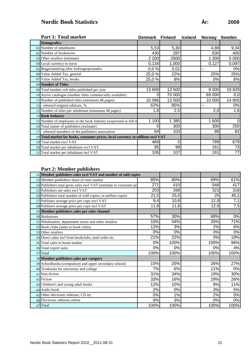# **Nordic Book Statistics År: 2009**

|    | Part 1: Total market                                                            | <b>Denmark</b> | <b>Finland</b> | <b>Iceland</b> | <b>Norway</b> | <b>Sweden</b>  |
|----|---------------------------------------------------------------------------------|----------------|----------------|----------------|---------------|----------------|
|    | <b>Demografics</b>                                                              |                |                |                |               |                |
|    | 01 Number of inhabitants                                                        | 5,53           | 5,30           |                | 4,89          | 9,34           |
|    | 02 Number of bookstores                                                         | 430            | 287            |                | 630           | 400            |
|    | 03 Other retailers (estimate)                                                   | 2 2 0 0        | 2600           |                | 1 300         | 5 000          |
|    | 04 Local currency in euros                                                      | 0,134          | 1,000          |                | 0,127         | 0,097          |
|    | 05 Bogprisändring efter forbrugerprisindex                                      | 0,0%           | 0,01           |                | --            | 0%             |
|    | 06 Value Added Tax, general                                                     | 25,0 %         | 22%            |                | 25%           | 25%            |
|    | 07 Value Added Tax, books                                                       | 25,0 %         | 8%             |                | 0%            | 6%             |
|    | 08 Number of Titles                                                             |                |                |                |               |                |
|    | 09 Total number och titles published per year                                   | 13 669         | 13 500         |                | 8 0 0 0       | 19 829         |
|    | 10 Active catalogue (number titles commercially available)                      | 0              | 70 000         |                | 69 000        | 0,0            |
|    | 11 Number of published titles (minimum 48 pages)                                | 10 066         | 13 500         |                | 10 000        | 14 805         |
|    | $12$ - whereof original editions, %                                             | 62%            | 85%            |                | --            | 0%             |
|    | 13 Number of titles per inhabitant (minimum 48 pages)                           | 1,8            | 2,5            |                | 2,0           | 1,6            |
|    | 14 Book Industry                                                                |                |                |                |               |                |
|    | 15 Number of employees in the book industry (expressed as full-ti               | 1 100          | 385            |                | 1 600         | $\overline{0}$ |
|    | 16 Total numer of publishers (estimate)                                         | 0              | 300            |                | 300           | 250            |
| 17 | - whereof members of the publishers association                                 | 64             | 103            |                | 89            | 82             |
|    | 18 Total market for books, consumer prices, local currency in millions excl VAT |                |                |                |               |                |
|    | 19 Total market excl VAT                                                        | 469            | 0              |                | 789           | 679            |
|    | 20 Total market per inhabitant excl VAT                                         | 85             | 99             |                | 161           | 73             |
|    | 21 Total market per inhabitant incl VAT                                         | 106            | 107            |                | 161           | 77             |

#### **Part 2: Member publishers**

| 22 Member publishers sales excl VAT and number of sold copies     |      |      |      |       |
|-------------------------------------------------------------------|------|------|------|-------|
| 23 Member publishers share of total market                        | 85%  | 80%  | 69%  | 61%   |
| 24 Publishers total gross sales excl VAT (estimate in consumer pr | 271  | 410  | 548  | 417   |
| 25 Publishers net sales excl VAT                                  | 203  | 268  | 323  | 318   |
| 26 Publishers total number of sold copies, in million copies      | 21,5 | 25,0 | 25   | 45,1  |
| 27 Publisers average price per copy excl VAT                      | 9,4  | 10,8 | 12,9 | 7,1   |
| 28 Publisers average price per copy incl VAT                      | 11,8 | 11,6 | 12,9 | 7,5   |
| 29 Member publishers sales per sales channel                      |      |      |      |       |
| 30 Bookstores                                                     | 57%  | 30%  | 68%  | $0\%$ |
| 31 Wholesalers, department stores and other retailers             | 10%  | 44%  | 30%  | 71%   |
| 32 Book clubs (sales to book clubs)                               | 12%  | 3%   | 2%   | 6%    |
| 33 Other retailers                                                | 0%   | 0%   | 0%   | $0\%$ |
| 34 Direct sales incl from bookclubs, mail-order etc               | 21%  | 22%  | 0%   | 19%   |
| 35 Total sales in home market                                     | 0%   | 100% | 100% | 96%   |
| 36 Total export sales                                             | 0%   | 0%   | 0%   | 4%    |
| 37 Total                                                          | 100% | 100% | 100% | 100%  |
| 38 Member publishers sales per category                           |      |      |      |       |
| 39 Schoolbooks (compulsory and upper secondary school)            | 15%  | 25%  | 26%  | 27%   |
| 40 Textbooks for university and college                           | 7%   | 6%   | 11%  | $0\%$ |
| 41 Non-fiction                                                    | 31%  | 34%  | 19%  | 30%   |
| 42 Fiction                                                        | 33%  | 16%  | 29%  | 26%   |
| 43 Children's and young adult books                               | 12%  | 15%  | 9%   | 11%   |
| 44 Audio book                                                     | 2%   | 0%   | 3%   | 5%    |
| 45 Other electronic editions, CD etc                              | 0%   | 1%   | 2%   | $0\%$ |
| 46 Electronic editions online                                     | 0%   | 3%   | 0%   | $0\%$ |
| 47 Total                                                          | 100% | 100% | 100% | 100%  |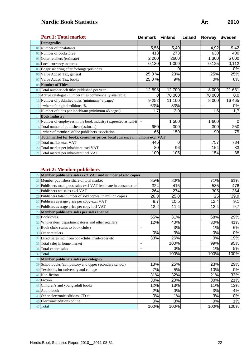# **Nordic Book Statistics År: 2010**

|     | <b>Part 1: Total market</b>                                                     | Denmark Finland          |        | <b>Iceland</b> | <b>Norway</b> | <b>Sweden</b> |
|-----|---------------------------------------------------------------------------------|--------------------------|--------|----------------|---------------|---------------|
|     | <b>Demografics</b>                                                              |                          |        |                |               |               |
|     | 01 Number of inhabitants                                                        | 5,56                     | 5,40   |                | 4,92          | 9,42          |
|     | 02 Number of bookstores                                                         | 418                      | 273    |                | 630           | 400           |
|     | 03 Other retailers (estimate)                                                   | 2 2 0 0                  | 2600   |                | 1 300         | 5 0 0 0       |
|     | 04 Local currency in euros                                                      | 0,130                    | 1,000  |                | 0,125         | 0,112         |
|     | 05 Bogprisändring efter forbrugerprisindex                                      | $\blacksquare$           | Ω      |                | --            | 0%            |
|     | 06 Value Added Tax, general                                                     | 25,0 %                   | 23%    |                | 25%           | 25%           |
| 07  | Value Added Tax, books                                                          | 25,0 %                   | 9%     |                | 0%            | 6%            |
|     | 08 Number of Titles                                                             |                          |        |                |               |               |
|     | 09 Total number och titles published per year                                   | 12 593                   | 12700  |                | 8 0 0 0       | 21 631        |
|     | 10 Active catalogue (number titles commercially available)                      | 0                        | 70 000 |                | 70 000        | 0,0           |
|     | Number of published titles (minimum 48 pages)                                   | 9 2 5 2                  | 11 100 |                | 8 0 0 0       | 16 4 65       |
| 12. | - whereof original editions, %                                                  | 63%                      | 83%    |                | н.            | 0%            |
|     | 13 Number of titles per inhabitant (minimum 48 pages)                           | 1,7                      | 2,0    |                | 1,6           | 1,7           |
|     | 14 <b>Book Industry</b>                                                         |                          |        |                |               |               |
|     | 15 Number of employees in the book industry (expressed as full-ti               | $\overline{\phantom{a}}$ | 1500   |                | 1 600         | 0             |
|     | 16 Total numer of publishers (estimate)                                         | 950                      | 300    |                | 300           | 250           |
|     | whereof members of the publishers association                                   | 66                       | 150    |                | 90            | 75            |
|     | 18 Total market for books, consumer prices, local currency in millions excl VAT |                          |        |                |               |               |
| 19  | Total market excl VAT                                                           | 446                      | 0      |                | 757           | 784           |
|     | 20 Total market per inhabitant excl VAT                                         | 80                       | 96     |                | 154           | 83            |
|     | 21 Total market per inhabitant incl VAT                                         | 100                      | 105    |                | 154           | 88            |

#### **Part 2: Member publishers**

|                | Member publishers sales excl VAT and number of sold copies         |                  |       |      |      |
|----------------|--------------------------------------------------------------------|------------------|-------|------|------|
|                | 23 Member publishers share of total market                         | 85%              | 80%   | 71%  | 61%  |
|                | 24 Publishers total gross sales excl VAT (estimate in consumer pri | 324              | 415   | 535  | 476  |
| 25             | Publishers net sales excl VAT                                      | 264              | 274   | 305  | 364  |
|                | 26 Publishers total number of sold copies, in million copies       | 26,3             | 25,0  | 25   | 39,9 |
| 2 <sup>7</sup> | Publisers average price per copy excl VAT                          | 9,7              | 10,5  | 12,4 | 9,1  |
|                | 28 Publisers average price per copy incl VAT                       | 12,2             | 11,4  | 12,4 | 9,7  |
|                | 29 Member publishers sales per sales channel                       |                  |       |      |      |
|                | 30 Bookstores                                                      | 55%              | 31%   | 68%  | 29%  |
| 31             | Wholesalers, department stores and other retailers                 | 12%              | 40%   | 30%  | 41%  |
| 32             | Book clubs (sales to book clubs)                                   | $\blacksquare$   | 3%    | 1%   | 6%   |
|                | 33 Other retailers                                                 | 0%               | 3%    | 0%   | 0%   |
| 34             | Direct sales incl from bookclubs, mail-order etc                   | 33%              | 26%   | 0%   | 19%  |
| 35             | Total sales in home market                                         | ٠                | 100%  | 99%  | 95%  |
|                | 36 Total export sales                                              |                  | 0%    | 1%   | 5%   |
| 37             | Total                                                              |                  | 100%  | 100% | 100% |
|                | 38 Member publishers sales per category                            |                  |       |      |      |
|                | 39 Schoolbooks (compulsory and upper secondary school)             | 18%              | 25%   | 23%  | 29%  |
|                | 40 Textbooks for university and college                            | 7%               | 5%    | 10%  | 0%   |
| 41             | Non-fiction                                                        | 31%              | 32%   | 21%  | 33%  |
| 42             | Fiction                                                            | 30%              | 20%   | 30%  | 21%  |
|                | 43 Children's and young adult books                                | 12%              | 13%   | 11%  | 13%  |
| 44             | Audio book                                                         | 2%               | 0%    | 3%   | 4%   |
|                | 45 Other electronic editions, CD etc                               | $\overline{0\%}$ | $1\%$ | 3%   | 0%   |
|                | 46 Electronic editions online                                      | 0%               | 3%    | 0%   | 1%   |
| 47             | Total                                                              | 100%             | 100%  | 100% | 100% |